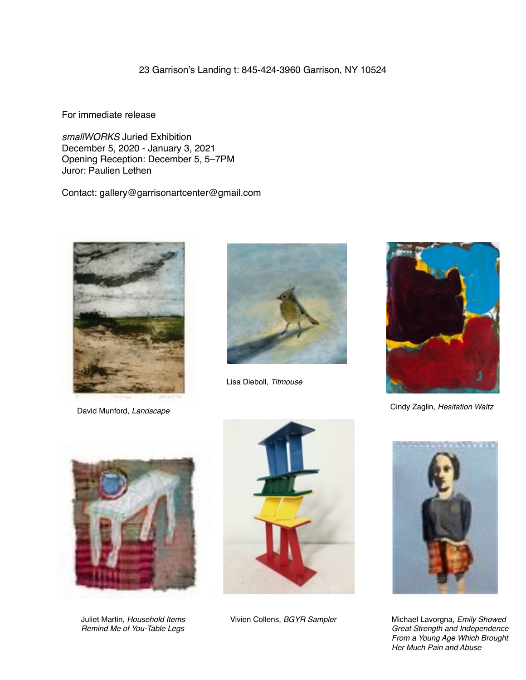23 Garrison's Landing t: 845-424-3960 Garrison, NY 10524

For immediate release

*smallWORKS* Juried Exhibition December 5, 2020 - January 3, 2021 Opening Reception: December 5, 5–7PM Juror: Paulien Lethen

Contact: gallery@[garrisonartcenter@gmail.com](mailto:garrisonartcenter@gmail.com)



David Munford, *Landscape*



Lisa Dieboll, *Titmouse*



Cindy Zaglin, *Hesitation Waltz*



Juliet Martin, *Household Items Remind Me of You-Table Legs*





Vivien Collens, *BGYR Sampler* Michael Lavorgna, *Emily Showed Great Strength and Independence From a Young Age Which Brought Her Much Pain and Abuse*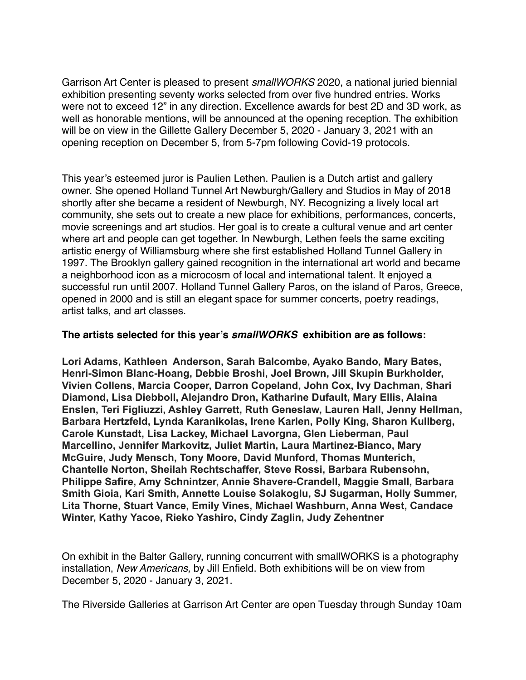Garrison Art Center is pleased to present *smallWORKS* 2020, a national juried biennial exhibition presenting seventy works selected from over five hundred entries. Works were not to exceed 12" in any direction. Excellence awards for best 2D and 3D work, as well as honorable mentions, will be announced at the opening reception. The exhibition will be on view in the Gillette Gallery December 5, 2020 - January 3, 2021 with an opening reception on December 5, from 5-7pm following Covid-19 protocols.

This year's esteemed juror is Paulien Lethen. Paulien is a Dutch artist and gallery owner. She opened Holland Tunnel Art Newburgh/Gallery and Studios in May of 2018 shortly after she became a resident of Newburgh, NY. Recognizing a lively local art community, she sets out to create a new place for exhibitions, performances, concerts, movie screenings and art studios. Her goal is to create a cultural venue and art center where art and people can get together. In Newburgh, Lethen feels the same exciting artistic energy of Williamsburg where she first established Holland Tunnel Gallery in 1997. The Brooklyn gallery gained recognition in the international art world and became a neighborhood icon as a microcosm of local and international talent. It enjoyed a successful run until 2007. Holland Tunnel Gallery Paros, on the island of Paros, Greece, opened in 2000 and is still an elegant space for summer concerts, poetry readings, artist talks, and art classes.

## **The artists selected for this year's** *smallWORKS* **exhibition are as follows:**

**Lori Adams, Kathleen Anderson, Sarah Balcombe, Ayako Bando, Mary Bates, Henri-Simon Blanc-Hoang, Debbie Broshi, Joel Brown, Jill Skupin Burkholder, Vivien Collens, Marcia Cooper, Darron Copeland, John Cox, Ivy Dachman, Shari Diamond, Lisa Diebboll, Alejandro Dron, Katharine Dufault, Mary Ellis, Alaina Enslen, Teri Figliuzzi, Ashley Garrett, Ruth Geneslaw, Lauren Hall, Jenny Hellman, Barbara Hertzfeld, Lynda Karanikolas, Irene Karlen, Polly King, Sharon Kullberg, Carole Kunstadt, Lisa Lackey, Michael Lavorgna, Glen Lieberman, Paul Marcellino, Jennifer Markovitz, Juliet Martin, Laura Martinez-Bianco, Mary McGuire, Judy Mensch, Tony Moore, David Munford, Thomas Munterich, Chantelle Norton, Sheilah Rechtschaffer, Steve Rossi, Barbara Rubensohn, Philippe Safire, Amy Schnintzer, Annie Shavere-Crandell, Maggie Small, Barbara Smith Gioia, Kari Smith, Annette Louise Solakoglu, SJ Sugarman, Holly Summer, Lita Thorne, Stuart Vance, Emily Vines, Michael Washburn, Anna West, Candace Winter, Kathy Yacoe, Rieko Yashiro, Cindy Zaglin, Judy Zehentner**

On exhibit in the Balter Gallery, running concurrent with smallWORKS is a photography installation, *New Americans,* by Jill Enfield. Both exhibitions will be on view from December 5, 2020 - January 3, 2021.

The Riverside Galleries at Garrison Art Center are open Tuesday through Sunday 10am